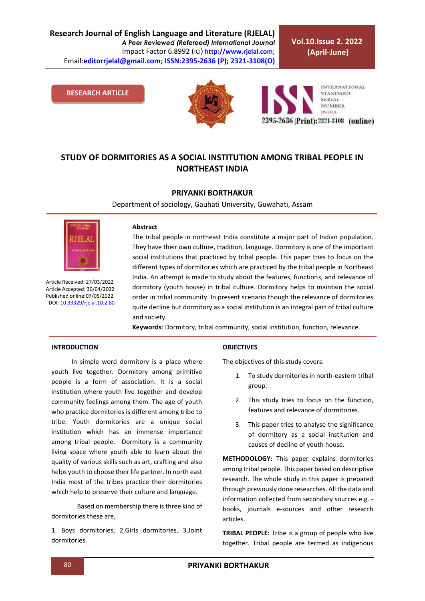**Research Journal of English Language and Literature (RJELAL)** *A Peer Reviewed (Refereed) International Journal* Impact Factor 6.8992 (ICI) **[http://www.rjelal.com](http://www.rjelal.com/)**; Email:**editorrjelal@gmail.com; ISSN:2395-2636 (P); 2321-3108(O)** 

**Vol.10.Issue 2. 2022 (April-June)**

**RESEARCH ARTICLE**



**INTERNATIONAL STANDARD** SERIAL **NUMBER INDIA** 2395-2636 (Print): 2321-3108 (online)

# **STUDY OF DORMITORIES AS A SOCIAL INSTITUTION AMONG TRIBAL PEOPLE IN NORTHEAST INDIA**

# **PRIYANKI BORTHAKUR**

Department of sociology, Gauhati University, Guwahati, Assam



Article Received: 27/03/2022 Article Accepted: 30/04/2022 Published online:07/05/2022 DOI[: 10.33329/rjelal.10.2.8](http://www.rjelal.com/)0

#### **Abstract**

The tribal people in northeast India constitute a major part of Indian population. They have their own culture, tradition, language. Dormitory is one of the important social institutions that practiced by tribal people. This paper tries to focus on the different types of dormitories which are practiced by the tribal people in Northeast India. An attempt is made to study about the features, functions, and relevance of dormitory (youth house) in tribal culture. Dormitory helps to maintain the social order in tribal community. In present scenario though the relevance of dormitories quite decline but dormitory as a social institution is an integral part of tribal culture and society.

**Keywords**: Dormitory, tribal community, social institution, function, relevance.

## **INTRODUCTION**

In simple word dormitory is a place where youth live together. Dormitory among primitive people is a form of association. It is a social institution where youth live together and develop community feelings among them. The age of youth who practice dormitories is different among tribe to tribe. Youth dormitories are a unique social institution which has an immense importance among tribal people. Dormitory is a community living space where youth able to learn about the quality of various skills such as art, crafting and also helps youth to choose their life partner. In north east India most of the tribes practice their dormitories which help to preserve their culture and language.

Based on membership there is three kind of dormitories these are,

1. Boys dormitories, 2.Girls dormitories, 3.Joint dormitories.

#### **OBJECTIVES**

The objectives of this study covers:

- 1. To study dormitories in north-eastern tribal group.
- 2. This study tries to focus on the function, features and relevance of dormitories.
- 3. This paper tries to analyse the significance of dormitory as a social institution and causes of decline of youth house.

**METHODOLOGY:** This paper explains dormitories among tribal people. This paper based on descriptive research. The whole study in this paper is prepared through previously done researches. All the data and information collected from secondary sources e.g. books, journals e-sources and other research articles.

**TRIBAL PEOPLE:** Tribe is a group of people who live together. Tribal people are termed as indigenous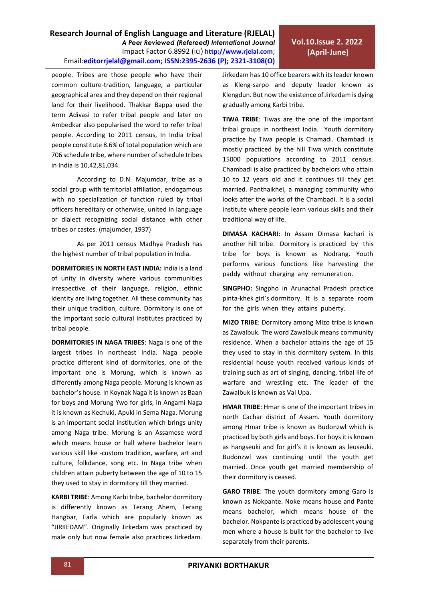**Research Journal of English Language and Literature (RJELAL)** *A Peer Reviewed (Refereed) International Journal* Impact Factor 6.8992 (ICI) **[http://www.rjelal.com](http://www.rjelal.com/)**; Email:**editorrjelal@gmail.com; ISSN:2395-2636 (P); 2321-3108(O)** 

people. Tribes are those people who have their common culture-tradition, language, a particular geographical area and they depend on their regional land for their livelihood. Thakkar Bappa used the term Adivasi to refer tribal people and later on Ambedkar also popularised the word to refer tribal people. According to 2011 census, In India tribal people constitute 8.6% of total population which are 706 schedule tribe, where number of schedule tribes in India is 10,42,81,034.

According to D.N. Majumdar, tribe as a social group with territorial affiliation, endogamous with no specialization of function ruled by tribal officers hereditary or otherwise, united in language or dialect recognizing social distance with other tribes or castes. (majumder, 1937)

As per 2011 census Madhya Pradesh has the highest number of tribal population in India.

**DORMITORIES IN NORTH EAST INDIA:** India is a land of unity in diversity where various communities irrespective of their language, religion, ethnic identity are living together. All these community has their unique tradition, culture. Dormitory is one of the important socio cultural institutes practiced by tribal people.

**DORMITORIES IN NAGA TRIBES**: Naga is one of the largest tribes in northeast India. Naga people practice different kind of dormitories, one of the important one is Morung, which is known as differently among Naga people. Morung is known as bachelor's house. In Koynak Naga it is known as Baan for boys and Morung Ywo for girls, in Angami Naga it is known as Kechuki, Apuki in Sema Naga. Morung is an important social institution which brings unity among Naga tribe. Morung is an Assamese word which means house or hall where bachelor learn various skill like -custom tradition, warfare, art and culture, folkdance, song etc. In Naga tribe when children attain puberty between the age of 10 to 15 they used to stay in dormitory till they married.

**KARBI TRIBE**: Among Karbi tribe, bachelor dormitory is differently known as Terang Ahem, Terang Hangbar, Farla which are popularly known as "JIRKEDAM". Originally Jirkedam was practiced by male only but now female also practices Jirkedam. Jirkedam has 10 office bearers with its leader known as Kleng-sarpo and deputy leader known as Klengdun. But now the existence of Jirkedam is dying gradually among Karbi tribe.

**TIWA TRIBE**: Tiwas are the one of the important tribal groups in northeast India. Youth dormitory practice by Tiwa people is Chamadi. Chambadi is mostly practiced by the hill Tiwa which constitute 15000 populations according to 2011 census. Chambadi is also practiced by bachelors who attain 10 to 12 years old and it continues till they get married. Panthaikhel, a managing community who looks after the works of the Chambadi. It is a social institute where people learn various skills and their traditional way of life.

**DIMASA KACHARI:** In Assam Dimasa kachari is another hill tribe. Dormitory is practiced by this tribe for boys is known as Nodrang. Youth performs various functions like harvesting the paddy without charging any remuneration.

**SINGPHO:** Singpho in Arunachal Pradesh practice pinta-khek girl's dormitory. It is a separate room for the girls when they attains puberty.

**MIZO TRIBE**: Dormitory among Mizo tribe is known as Zawalbuk. The word Zawalbuk means community residence. When a bachelor attains the age of 15 they used to stay in this dormitory system. In this residential house youth received various kinds of training such as art of singing, dancing, tribal life of warfare and wrestling etc. The leader of the Zawalbuk is known as Val Upa.

**HMAR TRIBE**: Hmar is one of the important tribes in north Cachar district of Assam. Youth dormitory among Hmar tribe is known as Budonzwl which is practiced by both girls and boys. For boys it is known as hangseuki and for girl's it is known as leuseuki. Budonzwl was continuing until the youth get married. Once youth get married membership of their dormitory is ceased.

**GARO TRIBE**: The youth dormitory among Garo is known as Nokpante. Noke means house and Pante means bachelor, which means house of the bachelor. Nokpante is practiced by adolescent young men where a house is built for the bachelor to live separately from their parents.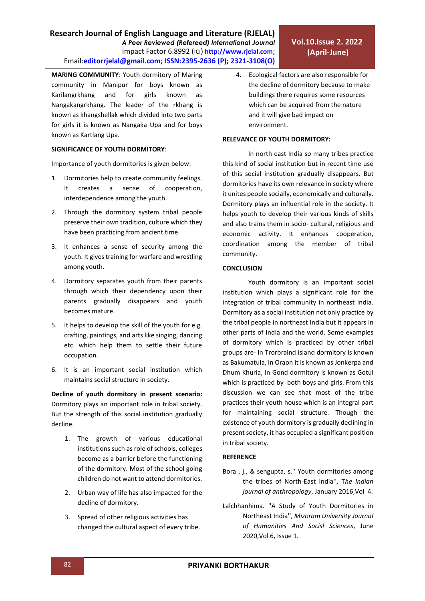**MARING COMMUNITY**: Youth dormitory of Maring community in Manipur for boys known as Karilangrkhang and for girls known as Nangakangrkhang. The leader of the rkhang is known as khangshellak which divided into two parts for girls it is known as Nangaka Upa and for boys known as Kartlang Upa.

# **SIGNIFICANCE OF YOUTH DORMITORY**:

Importance of youth dormitories is given below:

- 1. Dormitories help to create community feelings. It creates a sense of cooperation, interdependence among the youth.
- 2. Through the dormitory system tribal people preserve their own tradition, culture which they have been practicing from ancient time.
- 3. It enhances a sense of security among the youth. It gives training for warfare and wrestling among youth.
- 4. Dormitory separates youth from their parents through which their dependency upon their parents gradually disappears and youth becomes mature.
- 5. It helps to develop the skill of the youth for e.g. crafting, paintings, and arts like singing, dancing etc. which help them to settle their future occupation.
- 6. It is an important social institution which maintains social structure in society.

**Decline of youth dormitory in present scenario:** Dormitory plays an important role in tribal society. But the strength of this social institution gradually decline.

- 1. The growth of various educational institutions such as role of schools, colleges become as a barrier before the functioning of the dormitory. Most of the school going children do not want to attend dormitories.
- 2. Urban way of life has also impacted for the decline of dormitory.
- 3. Spread of other religious activities has changed the cultural aspect of every tribe.

4. Ecological factors are also responsible for the decline of dormitory because to make buildings there requires some resources which can be acquired from the nature and it will give bad impact on environment.

### **RELEVANCE OF YOUTH DORMITORY:**

In north east India so many tribes practice this kind of social institution but in recent time use of this social institution gradually disappears. But dormitories have its own relevance in society where it unites people socially, economically and culturally. Dormitory plays an influential role in the society. It helps youth to develop their various kinds of skills and also trains them in socio- cultural, religious and economic activity. It enhances cooperation, coordination among the member of tribal community.

## **CONCLUSION**

Youth dormitory is an important social institution which plays a significant role for the integration of tribal community in northeast India. Dormitory as a social institution not only practice by the tribal people in northeast India but it appears in other parts of India and the world. Some examples of dormitory which is practiced by other tribal groups are- In Trorbraind island dormitory is known as Bakumatula, in Oraon it is known as Jonkerpa and Dhum Khuria, in Gond dormitory is known as Gotul which is practiced by both boys and girls. From this discussion we can see that most of the tribe practices their youth house which is an integral part for maintaining social structure. Though the existence of youth dormitory is gradually declining in present society, it has occupied a significant position in tribal society.

## **REFERENCE**

- Bora , j., & sengupta, s.'' Youth dormitories among the tribes of North-East India'', T*he Indian journal of anthropology*, January 2016,Vol 4.
- Lalchhanhima. ''A Study of Youth Dormitories in Northeast India'', *Mizoram University Journal of Humanities And Socisl Sciences*, June 2020,Vol 6, Issue 1.